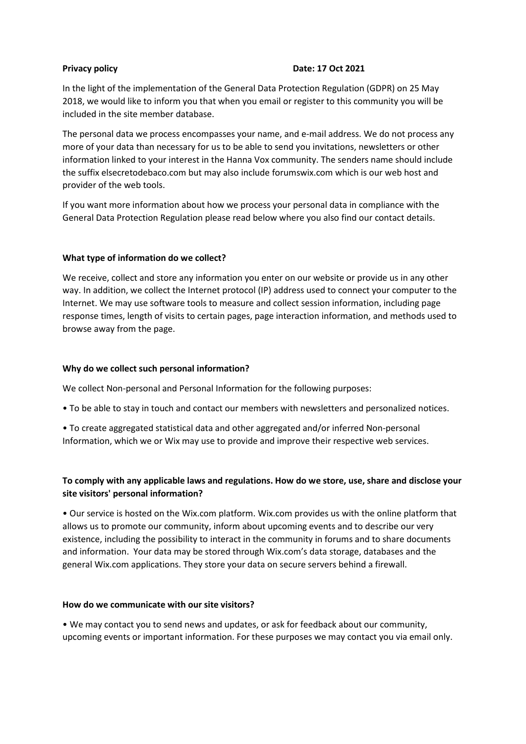## **Privacy policy Date: 17 Oct 2021**

In the light of the implementation of the General Data Protection Regulation (GDPR) on 25 May 2018, we would like to inform you that when you email or register to this community you will be included in the site member database.

The personal data we process encompasses your name, and e-mail address. We do not process any more of your data than necessary for us to be able to send you invitations, newsletters or other information linked to your interest in the Hanna Vox community. The senders name should include the suffix elsecretodebaco.com but may also include forumswix.com which is our web host and provider of the web tools.

If you want more information about how we process your personal data in compliance with the General Data Protection Regulation please read below where you also find our contact details.

## **What type of information do we collect?**

We receive, collect and store any information you enter on our website or provide us in any other way. In addition, we collect the Internet protocol (IP) address used to connect your computer to the Internet. We may use software tools to measure and collect session information, including page response times, length of visits to certain pages, page interaction information, and methods used to browse away from the page.

## **Why do we collect such personal information?**

We collect Non-personal and Personal Information for the following purposes:

- To be able to stay in touch and contact our members with newsletters and personalized notices.
- To create aggregated statistical data and other aggregated and/or inferred Non-personal Information, which we or Wix may use to provide and improve their respective web services.

# **To comply with any applicable laws and regulations. How do we store, use, share and disclose your site visitors' personal information?**

• Our service is hosted on the Wix.com platform. Wix.com provides us with the online platform that allows us to promote our community, inform about upcoming events and to describe our very existence, including the possibility to interact in the community in forums and to share documents and information. Your data may be stored through Wix.com's data storage, databases and the general Wix.com applications. They store your data on secure servers behind a firewall.

## **How do we communicate with our site visitors?**

• We may contact you to send news and updates, or ask for feedback about our community, upcoming events or important information. For these purposes we may contact you via email only.